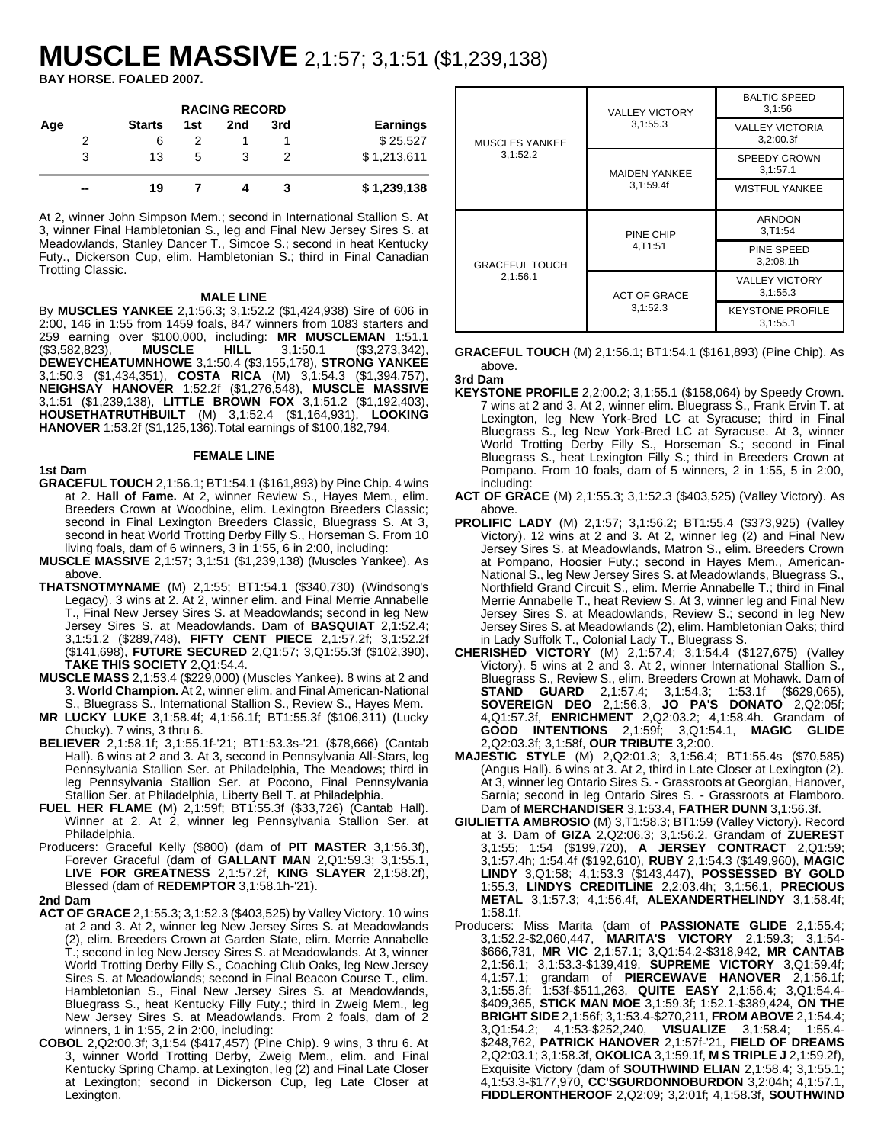# **MUSCLE MASSIVE** 2,1:57; 3,1:51 (\$1,239,138)

**BAY HORSE. FOALED 2007.**

|     |               |     | <b>RACING RECORD</b> |     |                 |
|-----|---------------|-----|----------------------|-----|-----------------|
| Age | <b>Starts</b> | 1st | 2nd                  | 3rd | <b>Earnings</b> |
| 2   | 6             |     |                      |     | \$25,527        |
|     | 13            | 5   |                      |     | \$1,213,611     |
| --  | 19            |     |                      |     | \$1,239,138     |

At 2, winner John Simpson Mem.; second in International Stallion S. At 3, winner Final Hambletonian S., leg and Final New Jersey Sires S. at Meadowlands, Stanley Dancer T., Simcoe S.; second in heat Kentucky Futy., Dickerson Cup, elim. Hambletonian S.; third in Final Canadian Trotting Classic.

## **MALE LINE**

By **MUSCLES YANKEE** 2,1:56.3; 3,1:52.2 (\$1,424,938) Sire of 606 in 2:00, 146 in 1:55 from 1459 foals, 847 winners from 1083 starters and 259 earning over \$100,000, including: **MR MUSCLEMAN** 1:51.1 (\$3,582,823), **MUSCLE HILL** 3,1:50.1 (\$3,273,342), **DEWEYCHEATUMNHOWE** 3,1:50.4 (\$3,155,178), **STRONG YANKEE** 3,1:50.3 (\$1,434,351), **COSTA RICA** (M) 3,1:54.3 (\$1,394,757), **NEIGHSAY HANOVER** 1:52.2f (\$1,276,548), **MUSCLE MASSIVE** 3,1:51 (\$1,239,138), **LITTLE BROWN FOX** 3,1:51.2 (\$1,192,403), **HOUSETHATRUTHBUILT** (M) 3,1:52.4 (\$1,164,931), **LOOKING HANOVER** 1:53.2f (\$1,125,136).Total earnings of \$100,182,794.

# **1st Dam**

**GRACEFUL TOUCH** 2,1:56.1; BT1:54.1 (\$161,893) by Pine Chip. 4 wins at 2. **Hall of Fame.** At 2, winner Review S., Hayes Mem., elim. Breeders Crown at Woodbine, elim. Lexington Breeders Classic; second in Final Lexington Breeders Classic, Bluegrass S. At 3, second in heat World Trotting Derby Filly S., Horseman S. From 10 living foals, dam of 6 winners, 3 in 1:55, 6 in 2:00, including:

**FEMALE LINE**

- **MUSCLE MASSIVE** 2,1:57; 3,1:51 (\$1,239,138) (Muscles Yankee). As above.
- **THATSNOTMYNAME** (M) 2,1:55; BT1:54.1 (\$340,730) (Windsong's Legacy). 3 wins at 2. At 2, winner elim. and Final Merrie Annabelle T., Final New Jersey Sires S. at Meadowlands; second in leg New Jersey Sires S. at Meadowlands. Dam of **BASQUIAT** 2,1:52.4; 3,1:51.2 (\$289,748), **FIFTY CENT PIECE** 2,1:57.2f; 3,1:52.2f (\$141,698), **FUTURE SECURED** 2,Q1:57; 3,Q1:55.3f (\$102,390), **TAKE THIS SOCIETY** 2,Q1:54.4.
- **MUSCLE MASS** 2,1:53.4 (\$229,000) (Muscles Yankee). 8 wins at 2 and 3. **World Champion.** At 2, winner elim. and Final American-National S., Bluegrass S., International Stallion S., Review S., Hayes Mem.
- **MR LUCKY LUKE** 3,1:58.4f; 4,1:56.1f; BT1:55.3f (\$106,311) (Lucky Chucky). 7 wins, 3 thru 6.
- **BELIEVER** 2,1:58.1f; 3,1:55.1f-'21; BT1:53.3s-'21 (\$78,666) (Cantab Hall). 6 wins at 2 and 3. At 3, second in Pennsylvania All-Stars, leg Pennsylvania Stallion Ser. at Philadelphia, The Meadows; third in leg Pennsylvania Stallion Ser. at Pocono, Final Pennsylvania Stallion Ser. at Philadelphia, Liberty Bell T. at Philadelphia.
- **FUEL HER FLAME** (M) 2,1:59f; BT1:55.3f (\$33,726) (Cantab Hall). Winner at 2. At 2, winner leg Pennsylvania Stallion Ser. at Philadelphia.
- Producers: Graceful Kelly (\$800) (dam of **PIT MASTER** 3,1:56.3f), Forever Graceful (dam of **GALLANT MAN** 2,Q1:59.3; 3,1:55.1, **LIVE FOR GREATNESS** 2,1:57.2f, **KING SLAYER** 2,1:58.2f), Blessed (dam of **REDEMPTOR** 3,1:58.1h-'21).

#### **2nd Dam**

- **ACT OF GRACE** 2,1:55.3; 3,1:52.3 (\$403,525) by Valley Victory. 10 wins at 2 and 3. At 2, winner leg New Jersey Sires S. at Meadowlands (2), elim. Breeders Crown at Garden State, elim. Merrie Annabelle T.; second in leg New Jersey Sires S. at Meadowlands. At 3, winner World Trotting Derby Filly S., Coaching Club Oaks, leg New Jersey Sires S. at Meadowlands; second in Final Beacon Course T., elim. Hambletonian S., Final New Jersey Sires S. at Meadowlands, Bluegrass S., heat Kentucky Filly Futy.; third in Zweig Mem., leg New Jersey Sires S. at Meadowlands. From 2 foals, dam of 2 winners, 1 in 1:55, 2 in 2:00, including:
- **COBOL** 2,Q2:00.3f; 3,1:54 (\$417,457) (Pine Chip). 9 wins, 3 thru 6. At 3, winner World Trotting Derby, Zweig Mem., elim. and Final Kentucky Spring Champ. at Lexington, leg (2) and Final Late Closer at Lexington; second in Dickerson Cup, leg Late Closer at Lexington.

|                       | <b>VALLEY VICTORY</b> | <b>BALTIC SPEED</b><br>3,1:56       |
|-----------------------|-----------------------|-------------------------------------|
| <b>MUSCLES YANKEE</b> | 3,1:55.3              | <b>VALLEY VICTORIA</b><br>3,2:00.3f |
| 3,1:52.2              | <b>MAIDEN YANKEE</b>  | <b>SPEEDY CROWN</b><br>3.1:57.1     |
|                       | 3,1:59.4f             | <b>WISTFUL YANKEE</b>               |
|                       |                       |                                     |
|                       | PINE CHIP             | ARNDON<br>3, T1:54                  |
| <b>GRACEFUL TOUCH</b> | 4.T1:51               | PINE SPEED<br>3,2:08.1h             |
| 2,1:56.1              | <b>ACT OF GRACE</b>   | <b>VALLEY VICTORY</b><br>3,1:55.3   |

# **GRACEFUL TOUCH** (M) 2,1:56.1; BT1:54.1 (\$161,893) (Pine Chip). As above.

**3rd Dam**

- **KEYSTONE PROFILE** 2,2:00.2; 3,1:55.1 (\$158,064) by Speedy Crown. 7 wins at 2 and 3. At 2, winner elim. Bluegrass S., Frank Ervin T. at Lexington, leg New York-Bred LC at Syracuse; third in Final Bluegrass S., leg New York-Bred LC at Syracuse. At 3, winner World Trotting Derby Filly S., Horseman S.; second in Final Bluegrass S., heat Lexington Filly S.; third in Breeders Crown at Pompano. From 10 foals, dam of 5 winners, 2 in 1:55, 5 in 2:00, including:
- **ACT OF GRACE** (M) 2,1:55.3; 3,1:52.3 (\$403,525) (Valley Victory). As above.
- **PROLIFIC LADY** (M) 2,1:57; 3,1:56.2; BT1:55.4 (\$373,925) (Valley Victory). 12 wins at 2 and 3. At 2, winner leg (2) and Final New Jersey Sires S. at Meadowlands, Matron S., elim. Breeders Crown at Pompano, Hoosier Futy.; second in Hayes Mem., American-National S., leg New Jersey Sires S. at Meadowlands, Bluegrass S., Northfield Grand Circuit S., elim. Merrie Annabelle T.; third in Final Merrie Annabelle T., heat Review S. At 3, winner leg and Final New Jersey Sires S. at Meadowlands, Review S.; second in leg New Jersey Sires S. at Meadowlands (2), elim. Hambletonian Oaks; third in Lady Suffolk T., Colonial Lady T., Bluegrass S.
- **CHERISHED VICTORY** (M) 2,1:57.4; 3,1:54.4 (\$127,675) (Valley Victory). 5 wins at 2 and 3. At 2, winner International Stallion S., Bluegrass S., Review S., elim. Breeders Crown at Mohawk. Dam of **STAND GUARD** 2,1:57.4; 3,1:54.3; 1:53.1f (\$629,065), **SOVEREIGN DEO** 2,1:56.3, **JO PA'S DONATO** 2,Q2:05f; 4,Q1:57.3f, **ENRICHMENT** 2,Q2:03.2; 4,1:58.4h. Grandam of **GOOD INTENTIONS** 2,1:59f; 3,Q1:54.1, **MAGIC GLIDE** 2,Q2:03.3f; 3,1:58f, **OUR TRIBUTE** 3,2:00.
- **MAJESTIC STYLE** (M) 2,Q2:01.3; 3,1:56.4; BT1:55.4s (\$70,585) (Angus Hall). 6 wins at 3. At 2, third in Late Closer at Lexington (2). At 3, winner leg Ontario Sires S. - Grassroots at Georgian, Hanover, Sarnia; second in leg Ontario Sires S. - Grassroots at Flamboro. Dam of **MERCHANDISER** 3,1:53.4, **FATHER DUNN** 3,1:56.3f.
- **GIULIETTA AMBROSIO** (M) 3,T1:58.3; BT1:59 (Valley Victory). Record at 3. Dam of **GIZA** 2,Q2:06.3; 3,1:56.2. Grandam of **ZUEREST** 3,1:55; 1:54 (\$199,720), **A JERSEY CONTRACT** 2,Q1:59; 3,1:57.4h; 1:54.4f (\$192,610), **RUBY** 2,1:54.3 (\$149,960), **MAGIC LINDY** 3,Q1:58; 4,1:53.3 (\$143,447), **POSSESSED BY GOLD** 1:55.3, **LINDYS CREDITLINE** 2,2:03.4h; 3,1:56.1, **PRECIOUS METAL** 3,1:57.3; 4,1:56.4f, **ALEXANDERTHELINDY** 3,1:58.4f; 1:58.1f.
- Producers: Miss Marita (dam of **PASSIONATE GLIDE** 2,1:55.4; 3,1:52.2-\$2,060,447, **MARITA'S VICTORY** 2,1:59.3; 3,1:54- \$666,731, **MR VIC** 2,1:57.1; 3,Q1:54.2-\$318,942, **MR CANTAB** 2,1:56.1; 3,1:53.3-\$139,419, **SUPREME VICTORY** 3,Q1:59.4f; 4,1:57.1; grandam of **PIERCEWAVE HANOVER** 2,1:56.1f; 3,1:55.3f; 1:53f-\$511,263, **QUITE EASY** 2,1:56.4; 3,Q1:54.4- \$409,365, **STICK MAN MOE** 3,1:59.3f; 1:52.1-\$389,424, **ON THE BRIGHT SIDE** 2,1:56f; 3,1:53.4-\$270,211, **FROM ABOVE** 2,1:54.4; 3,Q1:54.2; 4,1:53-\$252,240, **VISUALIZE** 3,1:58.4; 1:55.4- \$248,762, **PATRICK HANOVER** 2,1:57f-'21, **FIELD OF DREAMS** 2,Q2:03.1; 3,1:58.3f, **OKOLICA** 3,1:59.1f, **M S TRIPLE J** 2,1:59.2f), Exquisite Victory (dam of **SOUTHWIND ELIAN** 2,1:58.4; 3,1:55.1; 4,1:53.3-\$177,970, **CC'SGURDONNOBURDON** 3,2:04h; 4,1:57.1, **FIDDLERONTHEROOF** 2,Q2:09; 3,2:01f; 4,1:58.3f, **SOUTHWIND**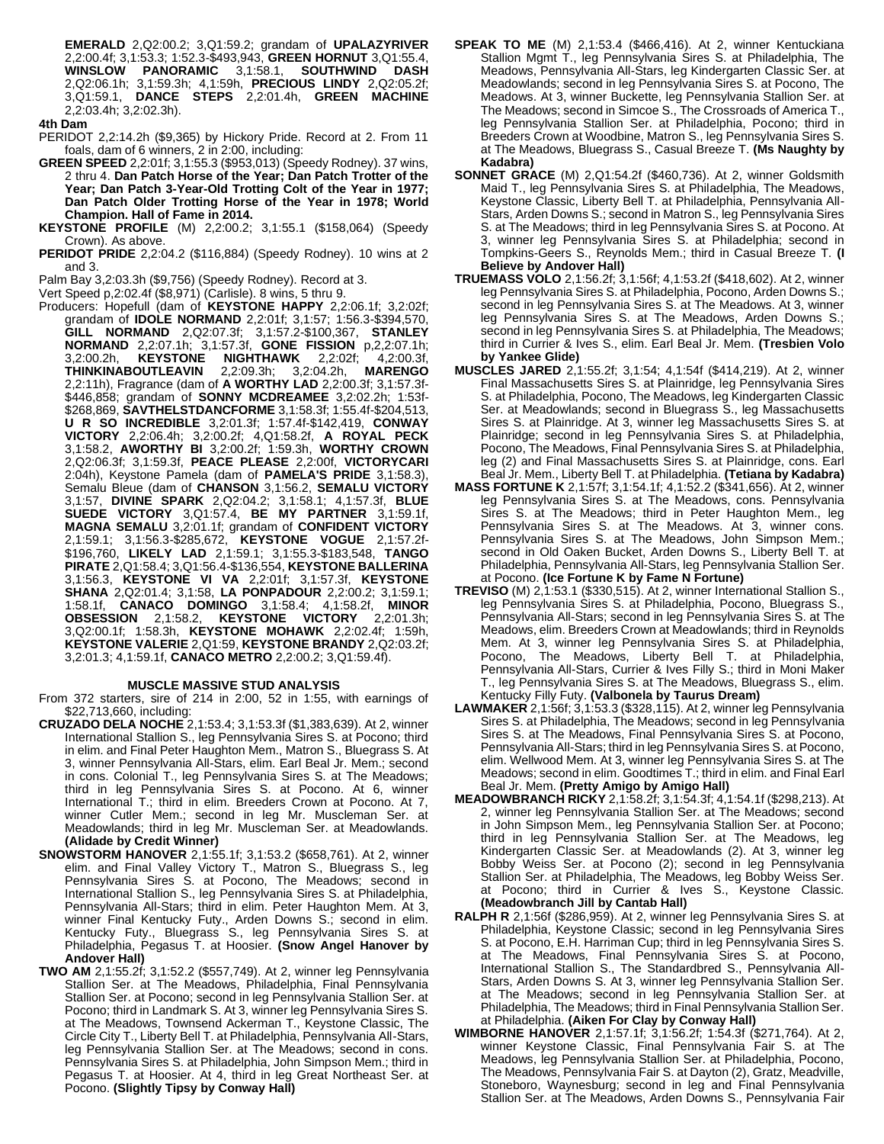**EMERALD** 2,Q2:00.2; 3,Q1:59.2; grandam of **UPALAZYRIVER** 2,2:00.4f; 3,1:53.3; 1:52.3-\$493,943, **GREEN HORNUT** 3,Q1:55.4, **WINSLOW PANORAMIC** 3,1:58.1, **SOUTHWIND DASH** 2,Q2:06.1h; 3,1:59.3h; 4,1:59h, **PRECIOUS LINDY** 2,Q2:05.2f; 3,Q1:59.1, **DANCE STEPS** 2,2:01.4h, **GREEN MACHINE** 2,2:03.4h; 3,2:02.3h).

#### **4th Dam**

PERIDOT 2,2:14.2h (\$9,365) by Hickory Pride. Record at 2. From 11 foals, dam of 6 winners, 2 in 2:00, including:

- **GREEN SPEED** 2,2:01f; 3,1:55.3 (\$953,013) (Speedy Rodney). 37 wins, 2 thru 4. **Dan Patch Horse of the Year; Dan Patch Trotter of the Year; Dan Patch 3-Year-Old Trotting Colt of the Year in 1977; Dan Patch Older Trotting Horse of the Year in 1978; World Champion. Hall of Fame in 2014.**
- **KEYSTONE PROFILE** (M) 2,2:00.2; 3,1:55.1 (\$158,064) (Speedy Crown). As above.
- **PERIDOT PRIDE** 2,2:04.2 (\$116,884) (Speedy Rodney). 10 wins at 2 and 3.

Palm Bay 3,2:03.3h (\$9,756) (Speedy Rodney). Record at 3.

Vert Speed p,2:02.4f (\$8,971) (Carlisle). 8 wins, 5 thru 9.

Producers: Hopefull (dam of **KEYSTONE HAPPY** 2,2:06.1f; 3,2:02f; grandam of **IDOLE NORMAND** 2,2:01f; 3,1:57; 1:56.3-\$394,570, **GILL NORMAND** 2,Q2:07.3f; 3,1:57.2-\$100,367, **STANLEY NORMAND** 2,2:07.1h; 3,1:57.3f, **GONE FISSION** p,2,2:07.1h; 3,2:00.2h, **KEYSTONE NIGHTHAWK** 2,2:02f; 4,2:00.3f, **THINKINABOUTLEAVIN** 2,2:09.3h; 3,2:04.2h, **MARENGO** 2,2:11h), Fragrance (dam of **A WORTHY LAD** 2,2:00.3f; 3,1:57.3f- \$446,858; grandam of **SONNY MCDREAMEE** 3,2:02.2h; 1:53f- \$268,869, **SAVTHELSTDANCFORME** 3,1:58.3f; 1:55.4f-\$204,513, **U R SO INCREDIBLE** 3,2:01.3f; 1:57.4f-\$142,419, **CONWAY VICTORY** 2,2:06.4h; 3,2:00.2f; 4,Q1:58.2f, **A ROYAL PECK** 3,1:58.2, **AWORTHY BI** 3,2:00.2f; 1:59.3h, **WORTHY CROWN** 2,Q2:06.3f; 3,1:59.3f, **PEACE PLEASE** 2,2:00f, **VICTORYCARI** 2:04h), Keystone Pamela (dam of **PAMELA'S PRIDE** 3,1:58.3), Semalu Bleue (dam of **CHANSON** 3,1:56.2, **SEMALU VICTORY** 3,1:57, **DIVINE SPARK** 2,Q2:04.2; 3,1:58.1; 4,1:57.3f, **BLUE SUEDE VICTORY** 3,Q1:57.4, **BE MY PARTNER** 3,1:59.1f, **MAGNA SEMALU** 3,2:01.1f; grandam of **CONFIDENT VICTORY** 2,1:59.1; 3,1:56.3-\$285,672, **KEYSTONE VOGUE** 2,1:57.2f- \$196,760, **LIKELY LAD** 2,1:59.1; 3,1:55.3-\$183,548, **TANGO PIRATE** 2,Q1:58.4; 3,Q1:56.4-\$136,554, **KEYSTONE BALLERINA** 3,1:56.3, **KEYSTONE VI VA** 2,2:01f; 3,1:57.3f, **KEYSTONE SHANA** 2,Q2:01.4; 3,1:58, **LA PONPADOUR** 2,2:00.2; 3,1:59.1; 1:58.1f, **CANACO DOMINGO** 3,1:58.4; 4,1:58.2f, **MINOR OBSESSION** 2,1:58.2, **KEYSTONE VICTORY** 2,2:01.3h; 3,Q2:00.1f; 1:58.3h, **KEYSTONE MOHAWK** 2,2:02.4f; 1:59h, **KEYSTONE VALERIE** 2,Q1:59, **KEYSTONE BRANDY** 2,Q2:03.2f; 3,2:01.3; 4,1:59.1f, **CANACO METRO** 2,2:00.2; 3,Q1:59.4f).

## **MUSCLE MASSIVE STUD ANALYSIS**

From 372 starters, sire of 214 in 2:00, 52 in 1:55, with earnings of \$22,713,660, including:

- **CRUZADO DELA NOCHE** 2,1:53.4; 3,1:53.3f (\$1,383,639). At 2, winner International Stallion S., leg Pennsylvania Sires S. at Pocono; third in elim. and Final Peter Haughton Mem., Matron S., Bluegrass S. At 3, winner Pennsylvania All-Stars, elim. Earl Beal Jr. Mem.; second in cons. Colonial T., leg Pennsylvania Sires S. at The Meadows; third in leg Pennsylvania Sires S. at Pocono. At 6, winner International T.; third in elim. Breeders Crown at Pocono. At 7, winner Cutler Mem.; second in leg Mr. Muscleman Ser. at Meadowlands; third in leg Mr. Muscleman Ser. at Meadowlands. **(Alidade by Credit Winner)**
- **SNOWSTORM HANOVER** 2,1:55.1f; 3,1:53.2 (\$658,761). At 2, winner elim. and Final Valley Victory T., Matron S., Bluegrass S., leg Pennsylvania Sires S. at Pocono, The Meadows; second in International Stallion S., leg Pennsylvania Sires S. at Philadelphia, Pennsylvania All-Stars; third in elim. Peter Haughton Mem. At 3, winner Final Kentucky Futy., Arden Downs S.; second in elim. Kentucky Futy., Bluegrass S., leg Pennsylvania Sires S. at Philadelphia, Pegasus T. at Hoosier. **(Snow Angel Hanover by Andover Hall)**
- **TWO AM** 2,1:55.2f; 3,1:52.2 (\$557,749). At 2, winner leg Pennsylvania Stallion Ser. at The Meadows, Philadelphia, Final Pennsylvania Stallion Ser. at Pocono; second in leg Pennsylvania Stallion Ser. at Pocono; third in Landmark S. At 3, winner leg Pennsylvania Sires S. at The Meadows, Townsend Ackerman T., Keystone Classic, The Circle City T., Liberty Bell T. at Philadelphia, Pennsylvania All-Stars, leg Pennsylvania Stallion Ser. at The Meadows; second in cons. Pennsylvania Sires S. at Philadelphia, John Simpson Mem.; third in Pegasus T. at Hoosier. At 4, third in leg Great Northeast Ser. at Pocono. **(Slightly Tipsy by Conway Hall)**
- **SPEAK TO ME** (M) 2,1:53.4 (\$466,416). At 2, winner Kentuckiana Stallion Mgmt T., leg Pennsylvania Sires S. at Philadelphia, The Meadows, Pennsylvania All-Stars, leg Kindergarten Classic Ser. at Meadowlands; second in leg Pennsylvania Sires S. at Pocono, The Meadows. At 3, winner Buckette, leg Pennsylvania Stallion Ser. at The Meadows; second in Simcoe S., The Crossroads of America T., leg Pennsylvania Stallion Ser. at Philadelphia, Pocono; third in Breeders Crown at Woodbine, Matron S., leg Pennsylvania Sires S. at The Meadows, Bluegrass S., Casual Breeze T. **(Ms Naughty by Kadabra)**
- **SONNET GRACE** (M) 2,Q1:54.2f (\$460,736). At 2, winner Goldsmith Maid T., leg Pennsylvania Sires S. at Philadelphia, The Meadows, Keystone Classic, Liberty Bell T. at Philadelphia, Pennsylvania All-Stars, Arden Downs S.; second in Matron S., leg Pennsylvania Sires S. at The Meadows; third in leg Pennsylvania Sires S. at Pocono. At 3, winner leg Pennsylvania Sires S. at Philadelphia; second in Tompkins-Geers S., Reynolds Mem.; third in Casual Breeze T. **(I Believe by Andover Hall)**
- **TRUEMASS VOLO** 2,1:56.2f; 3,1:56f; 4,1:53.2f (\$418,602). At 2, winner leg Pennsylvania Sires S. at Philadelphia, Pocono, Arden Downs S.; second in leg Pennsylvania Sires S. at The Meadows. At 3, winner leg Pennsylvania Sires S. at The Meadows, Arden Downs S.; second in leg Pennsylvania Sires S. at Philadelphia, The Meadows; third in Currier & Ives S., elim. Earl Beal Jr. Mem. **(Tresbien Volo by Yankee Glide)**
- **MUSCLES JARED** 2,1:55.2f; 3,1:54; 4,1:54f (\$414,219). At 2, winner Final Massachusetts Sires S. at Plainridge, leg Pennsylvania Sires S. at Philadelphia, Pocono, The Meadows, leg Kindergarten Classic Ser. at Meadowlands; second in Bluegrass S., leg Massachusetts Sires S. at Plainridge. At 3, winner leg Massachusetts Sires S. at Plainridge; second in leg Pennsylvania Sires S. at Philadelphia, Pocono, The Meadows, Final Pennsylvania Sires S. at Philadelphia, leg (2) and Final Massachusetts Sires S. at Plainridge, cons. Earl Beal Jr. Mem., Liberty Bell T. at Philadelphia. **(Tetiana by Kadabra)**
- **MASS FORTUNE K** 2,1:57f; 3,1:54.1f; 4,1:52.2 (\$341,656). At 2, winner leg Pennsylvania Sires S. at The Meadows, cons. Pennsylvania Sires S. at The Meadows; third in Peter Haughton Mem., leg Pennsylvania Sires S. at The Meadows. At 3, winner cons. Pennsylvania Sires S. at The Meadows, John Simpson Mem.; second in Old Oaken Bucket, Arden Downs S., Liberty Bell T. at Philadelphia, Pennsylvania All-Stars, leg Pennsylvania Stallion Ser. at Pocono. **(Ice Fortune K by Fame N Fortune)**
- **TREVISO** (M) 2, 1:53.1 (\$330,515). At 2, winner International Stallion S., leg Pennsylvania Sires S. at Philadelphia, Pocono, Bluegrass S., Pennsylvania All-Stars; second in leg Pennsylvania Sires S. at The Meadows, elim. Breeders Crown at Meadowlands; third in Reynolds Mem. At 3, winner leg Pennsylvania Sires S. at Philadelphia, Pocono, The Meadows, Liberty Bell T. at Philadelphia, Pennsylvania All-Stars, Currier & Ives Filly S.; third in Moni Maker T., leg Pennsylvania Sires S. at The Meadows, Bluegrass S., elim. Kentucky Filly Futy. **(Valbonela by Taurus Dream)**
- **LAWMAKER** 2,1:56f; 3,1:53.3 (\$328,115). At 2, winner leg Pennsylvania Sires S. at Philadelphia, The Meadows; second in leg Pennsylvania Sires S. at The Meadows, Final Pennsylvania Sires S. at Pocono, Pennsylvania All-Stars; third in leg Pennsylvania Sires S. at Pocono, elim. Wellwood Mem. At 3, winner leg Pennsylvania Sires S. at The Meadows; second in elim. Goodtimes T.; third in elim. and Final Earl Beal Jr. Mem. **(Pretty Amigo by Amigo Hall)**
- **MEADOWBRANCH RICKY** 2,1:58.2f; 3,1:54.3f; 4,1:54.1f (\$298,213). At 2, winner leg Pennsylvania Stallion Ser. at The Meadows; second in John Simpson Mem., leg Pennsylvania Stallion Ser. at Pocono; third in leg Pennsylvania Stallion Ser. at The Meadows, leg Kindergarten Classic Ser. at Meadowlands (2). At 3, winner leg Bobby Weiss Ser. at Pocono (2); second in leg Pennsylvania Stallion Ser. at Philadelphia, The Meadows, leg Bobby Weiss Ser. at Pocono; third in Currier & Ives S., Keystone Classic. **(Meadowbranch Jill by Cantab Hall)**
- **RALPH R** 2,1:56f (\$286,959). At 2, winner leg Pennsylvania Sires S. at Philadelphia, Keystone Classic; second in leg Pennsylvania Sires S. at Pocono, E.H. Harriman Cup; third in leg Pennsylvania Sires S. at The Meadows, Final Pennsylvania Sires S. at Pocono, International Stallion S., The Standardbred S., Pennsylvania All-Stars, Arden Downs S. At 3, winner leg Pennsylvania Stallion Ser. at The Meadows; second in leg Pennsylvania Stallion Ser. at Philadelphia, The Meadows; third in Final Pennsylvania Stallion Ser. at Philadelphia. **(Aiken For Clay by Conway Hall)**
- **WIMBORNE HANOVER** 2,1:57.1f; 3,1:56.2f; 1:54.3f (\$271,764). At 2, winner Keystone Classic, Final Pennsylvania Fair S. at The Meadows, leg Pennsylvania Stallion Ser. at Philadelphia, Pocono, The Meadows, Pennsylvania Fair S. at Dayton (2), Gratz, Meadville, Stoneboro, Waynesburg; second in leg and Final Pennsylvania Stallion Ser. at The Meadows, Arden Downs S., Pennsylvania Fair